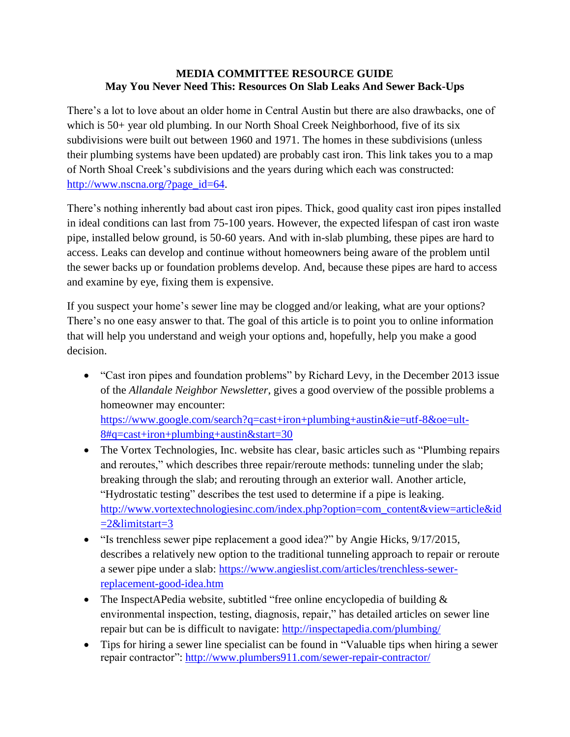## **MEDIA COMMITTEE RESOURCE GUIDE May You Never Need This: Resources On Slab Leaks And Sewer Back-Ups**

There's a lot to love about an older home in Central Austin but there are also drawbacks, one of which is 50+ year old plumbing. In our North Shoal Creek Neighborhood, five of its six subdivisions were built out between 1960 and 1971. The homes in these subdivisions (unless their plumbing systems have been updated) are probably cast iron. This link takes you to a map of North Shoal Creek's subdivisions and the years during which each was constructed: [http://www.nscna.org/?page\\_id=64.](http://www.nscna.org/?page_id=64)

There's nothing inherently bad about cast iron pipes. Thick, good quality cast iron pipes installed in ideal conditions can last from 75-100 years. However, the expected lifespan of cast iron waste pipe, installed below ground, is 50-60 years. And with in-slab plumbing, these pipes are hard to access. Leaks can develop and continue without homeowners being aware of the problem until the sewer backs up or foundation problems develop. And, because these pipes are hard to access and examine by eye, fixing them is expensive.

If you suspect your home's sewer line may be clogged and/or leaking, what are your options? There's no one easy answer to that. The goal of this article is to point you to online information that will help you understand and weigh your options and, hopefully, help you make a good decision.

 "Cast iron pipes and foundation problems" by Richard Levy, in the December 2013 issue of the *Allandale Neighbor Newsletter*, gives a good overview of the possible problems a homeowner may encounter:

[https://www.google.com/search?q=cast+iron+plumbing+austin&ie=utf-8&oe=ult-](https://www.google.com/search?q=cast+iron+plumbing+austin&ie=utf-8&oe=ult-8#q=cast+iron+plumbing+austin&start=30) $8#q = cast + iron +plumbing + austin☆ = 30$ 

- The Vortex Technologies, Inc. website has clear, basic articles such as "Plumbing repairs" and reroutes," which describes three repair/reroute methods: tunneling under the slab; breaking through the slab; and rerouting through an exterior wall. Another article, "Hydrostatic testing" describes the test used to determine if a pipe is leaking. [http://www.vortextechnologiesinc.com/index.php?option=com\\_content&view=article&id](http://www.vortextechnologiesinc.com/index.php?option=com_content&view=article&id=2&limitstart=3)  $=2\&$ limitstart=3
- "Is trenchless sewer pipe replacement a good idea?" by Angie Hicks, 9/17/2015, describes a relatively new option to the traditional tunneling approach to repair or reroute a sewer pipe under a slab: [https://www.angieslist.com/articles/trenchless-sewer](https://www.angieslist.com/articles/trenchless-sewer-replacement-good-idea.htm)[replacement-good-idea.htm](https://www.angieslist.com/articles/trenchless-sewer-replacement-good-idea.htm)
- The InspectAPedia website, subtitled "free online encyclopedia of building  $\&$ environmental inspection, testing, diagnosis, repair," has detailed articles on sewer line repair but can be is difficult to navigate: <http://inspectapedia.com/plumbing/>
- Tips for hiring a sewer line specialist can be found in "Valuable tips when hiring a sewer repair contractor":<http://www.plumbers911.com/sewer-repair-contractor/>